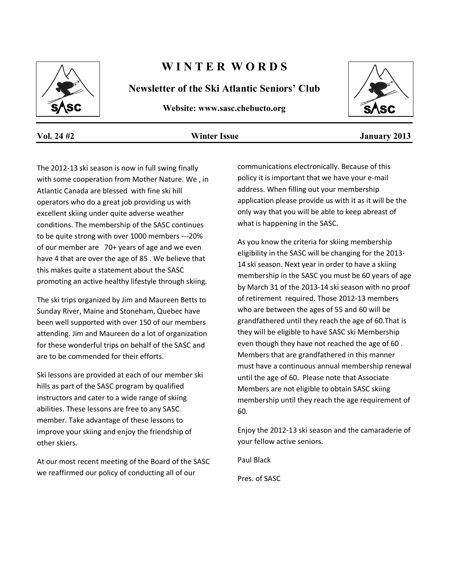

# **W I N T E R W O R D S**

**Newsletter of the Ski Atlantic Seniors' Club**

**Website: www.sasc.chebucto.org**



**Vol. 24 #2 Winter Issue January 2013**

The 2012-13 ski season is now in full swing finally with some cooperation from Mother Nature. We , in Atlantic Canada are blessed with fine ski hill operators who do a great job providing us with excellent skiing under quite adverse weather conditions. The membership of the SASC continues to be quite strong with over 1000 members ---20% of our member are 70+ years of age and we even have 4 that are over the age of 85 . We believe that this makes quite a statement about the SASC promoting an active healthy lifestyle through skiing.

The ski trips organized by Jim and Maureen Betts to Sunday River, Maine and Stoneham, Quebec have been well supported with over 150 of our members attending. Jim and Maureen do a lot of organization for these wonderful trips on behalf of the SASC and are to be commended for their efforts.

Ski lessons are provided at each of our member ski hills as part of the SASC program by qualified instructors and cater to a wide range of skiing abilities. These lessons are free to any SASC member. Take advantage of these lessons to improve your skiing and enjoy the friendship of other skiers.

At our most recent meeting of the Board of the SASC we reaffirmed our policy of conducting all of our

communications electronically. Because of this policy it is important that we have your e-mail address. When filling out your membership application please provide us with it as it will be the only way that you will be able to keep abreast of what is happening in the SASC.

As you know the criteria for skiing membership eligibility in the SASC will be changing for the 2013- 14 ski season. Next year in order to have a skiing membership in the SASC you must be 60 years of age by March 31 of the 2013-14 ski season with no proof of retirement required. Those 2012-13 members who are between the ages of 55 and 60 will be grandfathered until they reach the age of 60.That is they will be eligible to have SASC ski Membership even though they have not reached the age of 60 . Members that are grandfathered in this manner must have a continuous annual membership renewal until the age of 60. Please note that Associate Members are not eligible to obtain SASC skiing membership until they reach the age requirement of 60.

Enjoy the 2012-13 ski season and the camaraderie of your fellow active seniors.

Paul Black

Pres. of SASC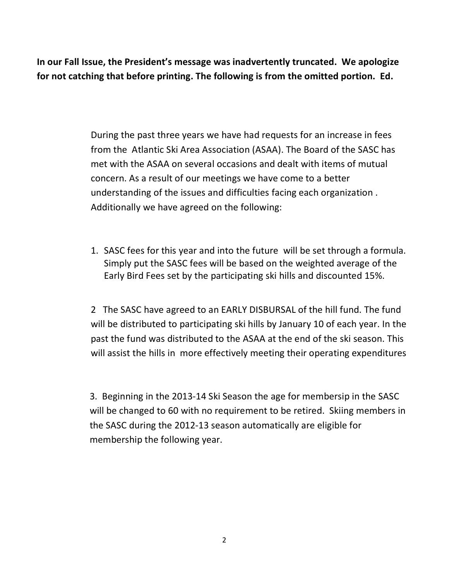**In our Fall Issue, the President's message was inadvertently truncated. We apologize for not catching that before printing. The following is from the omitted portion. Ed.**

> During the past three years we have had requests for an increase in fees from the Atlantic Ski Area Association (ASAA). The Board of the SASC has met with the ASAA on several occasions and dealt with items of mutual concern. As a result of our meetings we have come to a better understanding of the issues and difficulties facing each organization . Additionally we have agreed on the following:

1. SASC fees for this year and into the future will be set through a formula. Simply put the SASC fees will be based on the weighted average of the Early Bird Fees set by the participating ski hills and discounted 15%.

2 The SASC have agreed to an EARLY DISBURSAL of the hill fund. The fund will be distributed to participating ski hills by January 10 of each year. In the past the fund was distributed to the ASAA at the end of the ski season. This will assist the hills in more effectively meeting their operating expenditures

3. Beginning in the 2013-14 Ski Season the age for membersip in the SASC will be changed to 60 with no requirement to be retired. Skiing members in the SASC during the 2012-13 season automatically are eligible for membership the following year.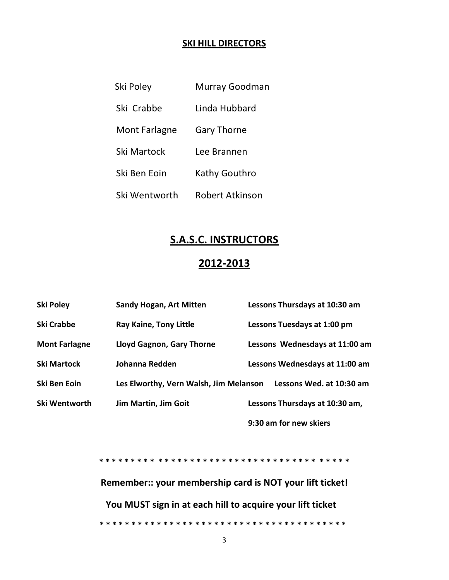## **SKI HILL DIRECTORS**

| Ski Poley            | Murray Goodman     |
|----------------------|--------------------|
| Ski Crabbe           | Linda Hubbard      |
| <b>Mont Farlagne</b> | <b>Gary Thorne</b> |
| Ski Martock          | Lee Brannen        |
| Ski Ben Eoin         | Kathy Gouthro      |
| Ski Wentworth        | Robert Atkinson    |

# **S.A.S.C. INSTRUCTORS**

# **2012-2013**

| <b>Ski Poley</b>     | <b>Sandy Hogan, Art Mitten</b>         | Lessons Thursdays at 10:30 am  |
|----------------------|----------------------------------------|--------------------------------|
| <b>Ski Crabbe</b>    | <b>Ray Kaine, Tony Little</b>          | Lessons Tuesdays at 1:00 pm    |
| <b>Mont Farlagne</b> | Lloyd Gagnon, Gary Thorne              | Lessons Wednesdays at 11:00 am |
| <b>Ski Martock</b>   | Johanna Redden                         | Lessons Wednesdays at 11:00 am |
| Ski Ben Eoin         | Les Elworthy, Vern Walsh, Jim Melanson | Lessons Wed. at 10:30 am       |
| Ski Wentworth        | Jim Martin, Jim Goit                   | Lessons Thursdays at 10:30 am, |
|                      |                                        | 9:30 am for new skiers         |

**\* \* \* \* \* \* \* \* \* \* \* \* \* \* \* \* \* \* \* \* \* \* \* \* \* \* \* \* \* \* \* \* \* \* \* \* \* \* \***

**Remember:: your membership card is NOT your lift ticket! You MUST sign in at each hill to acquire your lift ticket \* \* \* \* \* \* \* \* \* \* \* \* \* \* \* \* \* \* \* \* \* \* \* \* \* \* \* \* \* \* \* \* \* \* \* \* \* \* \***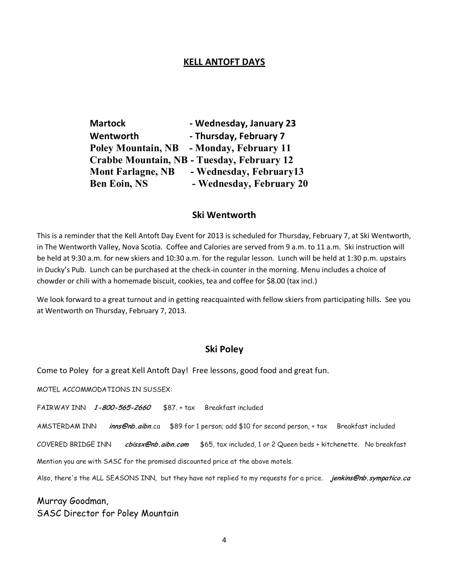## **KELL ANTOFT DAYS**

| <b>Martock</b>            | - Wednesday, January 23                    |
|---------------------------|--------------------------------------------|
| Wentworth                 | - Thursday, February 7                     |
| <b>Poley Mountain, NB</b> | - Monday, February 11                      |
|                           | Crabbe Mountain, NB - Tuesday, February 12 |
| <b>Mont Farlagne, NB</b>  | - Wednesday, February13                    |
| <b>Ben Eoin, NS</b>       | - Wednesday, February 20                   |

## **Ski Wentworth**

This is a reminder that the Kell Antoft Day Event for 2013 is scheduled for Thursday, February 7, at Ski Wentworth, in The Wentworth Valley, Nova Scotia. Coffee and Calories are served from 9 a.m. to 11 a.m. Ski instruction will be held at 9:30 a.m. for new skiers and 10:30 a.m. for the regular lesson. Lunch will be held at 1:30 p.m. upstairs in Ducky's Pub. Lunch can be purchased at the check-in counter in the morning. Menu includes a choice of chowder or chili with a homemade biscuit, cookies, tea and coffee for \$8.00 (tax incl.)

We look forward to a great turnout and in getting reacquainted with fellow skiers from participating hills. See you at Wentworth on Thursday, February 7, 2013.

## **Ski Poley**

Come to Poley for a great Kell Antoft Day! Free lessons, good food and great fun.

MOTEL ACCOMMODATIONS IN SUSSEX:

FAIRWAY INN **1-800-565-2660** \$87. + tax Breakfast included

AMSTERDAM INN **inns@nb.aibn.**ca \$89 for 1 person; add \$10 for second person, + tax Breakfast included

COVERED BRIDGE INN **cbissx@nb.aibn.com** \$65, tax included, 1 or 2 Queen beds + kitchenette. No breakfast

Mention you are with SASC for the promised discounted price at the above motels.

Also, there's the ALL SEASONS INN, but they have not replied to my requests for a price. **jenkins@nb.sympatico.ca**

Murray Goodman, SASC Director for Poley Mountain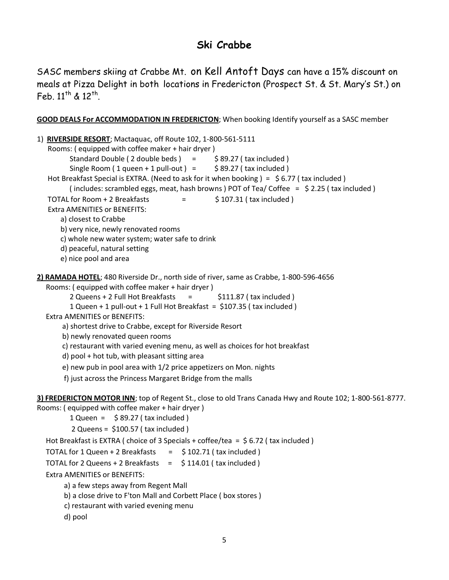## **Ski Crabbe**

SASC members skiing at Crabbe Mt. on Kell Antoft Days can have a 15% discount on meals at Pizza Delight in both locations in Fredericton (Prospect St. & St. Mary's St.) on Feb.  $11^{th}$  &  $12^{th}$ .

**GOOD DEALS For ACCOMMODATION IN FREDERICTON**; When booking Identify yourself as a SASC member

```
1) RIVERSIDE RESORT; Mactaquac, off Route 102, 1-800-561-5111
    Rooms: ( equipped with coffee maker + hair dryer )
         Standard Double ( 2 double beds ) = $89.27 (tax included )
          Single Room ( 1 queen + 1 pull-out ) = \frac{1}{5} 89.27 ( tax included )
   Hot Breakfast Special is EXTRA. (Need to ask for it when booking) = \frac{1}{5} 6.77 (tax included)
          ( includes: scrambled eggs, meat, hash browns ) POT of Tea/ Coffee = $ 2.25 ( tax included )
   TOTAL for Room + 2 Breakfasts \qquad = \qquad $ 107.31 ( tax included )
    Extra AMENITIES or BENEFITS:
        a) closest to Crabbe
        b) very nice, newly renovated rooms
        c) whole new water system; water safe to drink
        d) peaceful, natural setting
        e) nice pool and area
2) RAMADA HOTEL; 480 Riverside Dr., north side of river, same as Crabbe, 1-800-596-4656
   Rooms: ( equipped with coffee maker + hair dryer )
          2 Queens + 2 Full Hot Breakfasts = \frac{1}{2} $111.87 (tax included )
           1 Queen + 1 pull-out + 1 Full Hot Breakfast = $107.35 ( tax included )
   Extra AMENITIES or BENEFITS:
        a) shortest drive to Crabbe, except for Riverside Resort
        b) newly renovated queen rooms
        c) restaurant with varied evening menu, as well as choices for hot breakfast
        d) pool + hot tub, with pleasant sitting area
        e) new pub in pool area with 1/2 price appetizers on Mon. nights
         f) just across the Princess Margaret Bridge from the malls
3) FREDERICTON MOTOR INN; top of Regent St., close to old Trans Canada Hwy and Route 102; 1-800-561-8777. 
Rooms: ( equipped with coffee maker + hair dryer )
          1 Queen = \frac{1}{5} 89.27 (tax included)
           2 Queens = $100.57 ( tax included )
   Hot Breakfast is EXTRA ( choice of 3 Specials + coffee/tea = $ 6.72 ( tax included )
  TOTAL for 1 Queen + 2 Breakfasts = \frac{1}{2} 102.71 (tax included )
  TOTAL for 2 Queens + 2 Breakfasts = $114.01 (tax included)
   Extra AMENITIES or BENEFITS:
         a) a few steps away from Regent Mall
         b) a close drive to F'ton Mall and Corbett Place ( box stores )
```
c) restaurant with varied evening menu

d) pool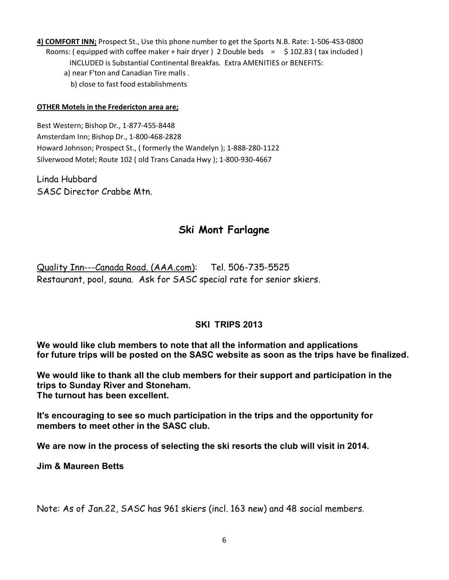**4) COMFORT INN;** Prospect St., Use this phone number to get the Sports N.B. Rate: 1-506-453-0800 Rooms: ( equipped with coffee maker + hair dryer ) 2 Double beds =  $\frac{1}{2}$  102.83 ( tax included ) INCLUDED is Substantial Continental Breakfas. Extra AMENITIES or BENEFITS: a) near F'ton and Canadian Tire malls . b) close to fast food establishments

#### **OTHER Motels in the Fredericton area are;**

Best Western; Bishop Dr., 1-877-455-8448 Amsterdam Inn; Bishop Dr., 1-800-468-2828 Howard Johnson; Prospect St., ( formerly the Wandelyn ); 1-888-280-1122 Silverwood Motel; Route 102 ( old Trans Canada Hwy ); 1-800-930-4667

Linda Hubbard SASC Director Crabbe Mtn.

## **Ski Mont Farlagne**

Quality Inn---Canada Road. (AAA.com): Tel. 506-735-5525 Restaurant, pool, sauna. Ask for SASC special rate for senior skiers.

## **SKI TRIPS 2013**

**We would like club members to note that all the information and applications for future trips will be posted on the SASC website as soon as the trips have be finalized.**

**We would like to thank all the club members for their support and participation in the trips to Sunday River and Stoneham. The turnout has been excellent.**

**It's encouraging to see so much participation in the trips and the opportunity for members to meet other in the SASC club.**

**We are now in the process of selecting the ski resorts the club will visit in 2014.**

**Jim & Maureen Betts**

Note: As of Jan.22, SASC has 961 skiers (incl. 163 new) and 48 social members.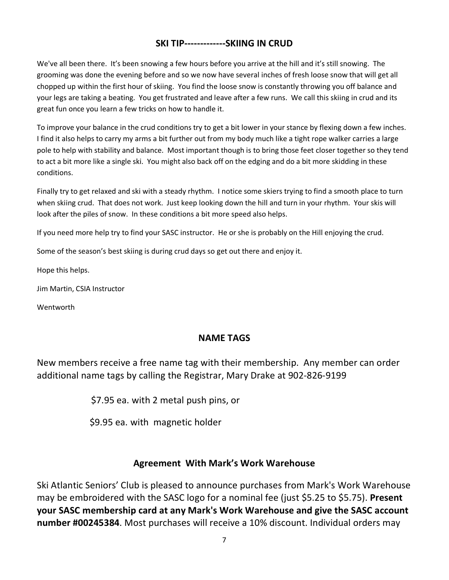## **SKI TIP-------------SKIING IN CRUD**

We've all been there. It's been snowing a few hours before you arrive at the hill and it's still snowing. The grooming was done the evening before and so we now have several inches of fresh loose snow that will get all chopped up within the first hour of skiing. You find the loose snow is constantly throwing you off balance and your legs are taking a beating. You get frustrated and leave after a few runs. We call this skiing in crud and its great fun once you learn a few tricks on how to handle it.

To improve your balance in the crud conditions try to get a bit lower in your stance by flexing down a few inches. I find it also helps to carry my arms a bit further out from my body much like a tight rope walker carries a large pole to help with stability and balance. Most important though is to bring those feet closer together so they tend to act a bit more like a single ski. You might also back off on the edging and do a bit more skidding in these conditions.

Finally try to get relaxed and ski with a steady rhythm. I notice some skiers trying to find a smooth place to turn when skiing crud. That does not work. Just keep looking down the hill and turn in your rhythm. Your skis will look after the piles of snow. In these conditions a bit more speed also helps.

If you need more help try to find your SASC instructor. He or she is probably on the Hill enjoying the crud.

Some of the season's best skiing is during crud days so get out there and enjoy it.

Hope this helps.

Jim Martin, CSIA Instructor

Wentworth

## **NAME TAGS**

New members receive a free name tag with their membership. Any member can order additional name tags by calling the Registrar, Mary Drake at 902-826-9199

\$7.95 ea. with 2 metal push pins, or

\$9.95 ea. with magnetic holder

## **Agreement With Mark's Work Warehouse**

Ski Atlantic Seniors' Club is pleased to announce purchases from Mark's Work Warehouse may be embroidered with the SASC logo for a nominal fee (just \$5.25 to \$5.75). **Present your SASC membership card at any Mark's Work Warehouse and give the SASC account number #00245384**. Most purchases will receive a 10% discount. Individual orders may